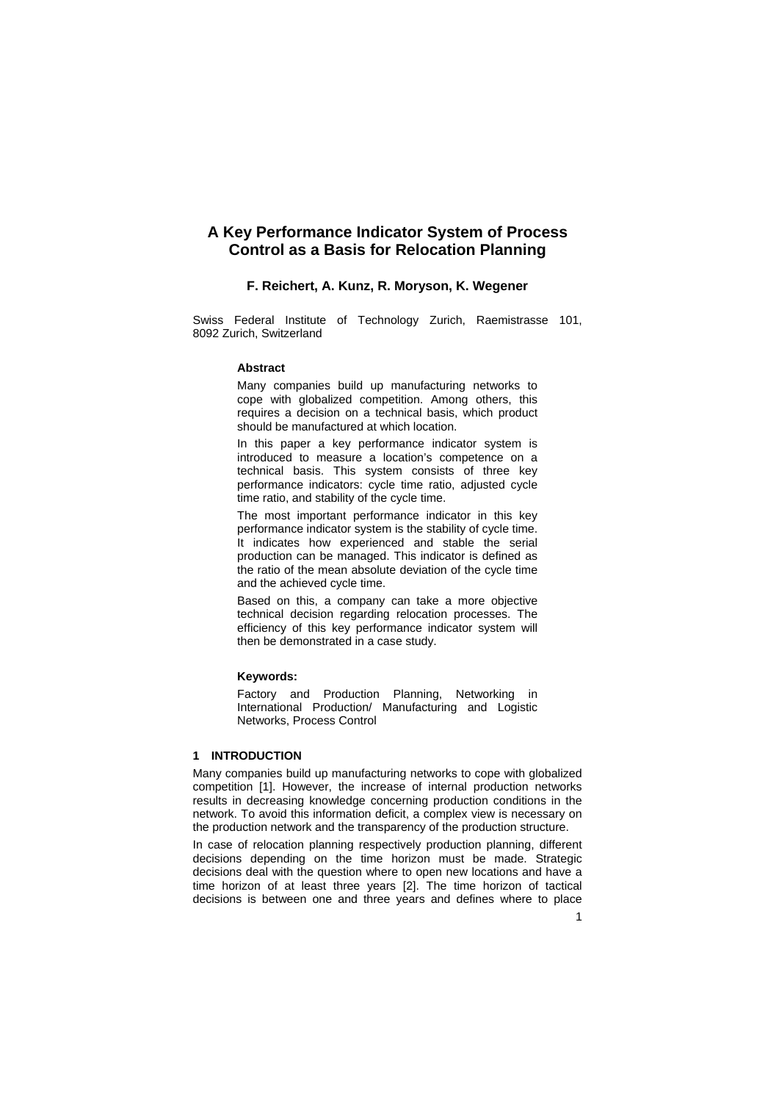# **A Key Performance Indicator System of Process Control as a Basis for Relocation Planning**

## **F. Reichert, A. Kunz, R. Moryson, K. Wegener**

Swiss Federal Institute of Technology Zurich, Raemistrasse 101, 8092 Zurich, Switzerland

#### **Abstract**

Many companies build up manufacturing networks to cope with globalized competition. Among others, this requires a decision on a technical basis, which product should be manufactured at which location.

In this paper a key performance indicator system is introduced to measure a location's competence on a technical basis. This system consists of three key performance indicators: cycle time ratio, adjusted cycle time ratio, and stability of the cycle time.

The most important performance indicator in this key performance indicator system is the stability of cycle time. It indicates how experienced and stable the serial production can be managed. This indicator is defined as the ratio of the mean absolute deviation of the cycle time and the achieved cycle time.

Based on this, a company can take a more objective technical decision regarding relocation processes. The efficiency of this key performance indicator system will then be demonstrated in a case study.

## **Keywords:**

Factory and Production Planning, Networking in International Production/ Manufacturing and Logistic Networks, Process Control

## **1 INTRODUCTION**

Many companies build up manufacturing networks to cope with globalized competition [1]. However, the increase of internal production networks results in decreasing knowledge concerning production conditions in the network. To avoid this information deficit, a complex view is necessary on the production network and the transparency of the production structure.

In case of relocation planning respectively production planning, different decisions depending on the time horizon must be made. Strategic decisions deal with the question where to open new locations and have a time horizon of at least three years [2]. The time horizon of tactical decisions is between one and three years and defines where to place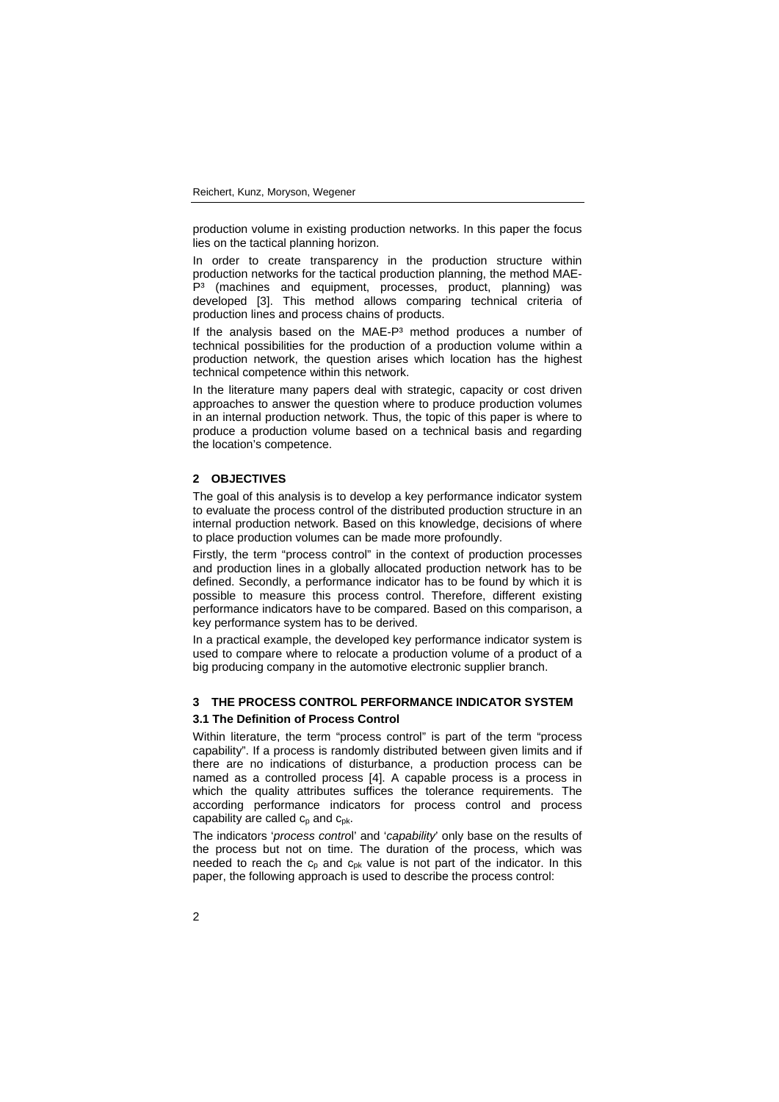production volume in existing production networks. In this paper the focus lies on the tactical planning horizon.

In order to create transparency in the production structure within production networks for the tactical production planning, the method MAE-P<sup>3</sup> (machines and equipment, processes, product, planning) was developed [3]. This method allows comparing technical criteria of production lines and process chains of products.

If the analysis based on the MAE-P<sup>3</sup> method produces a number of technical possibilities for the production of a production volume within a production network, the question arises which location has the highest technical competence within this network.

In the literature many papers deal with strategic, capacity or cost driven approaches to answer the question where to produce production volumes in an internal production network. Thus, the topic of this paper is where to produce a production volume based on a technical basis and regarding the location's competence.

## **2 OBJECTIVES**

The goal of this analysis is to develop a key performance indicator system to evaluate the process control of the distributed production structure in an internal production network. Based on this knowledge, decisions of where to place production volumes can be made more profoundly.

Firstly, the term "process control" in the context of production processes and production lines in a globally allocated production network has to be defined. Secondly, a performance indicator has to be found by which it is possible to measure this process control. Therefore, different existing performance indicators have to be compared. Based on this comparison, a key performance system has to be derived.

In a practical example, the developed key performance indicator system is used to compare where to relocate a production volume of a product of a big producing company in the automotive electronic supplier branch.

## **3 THE PROCESS CONTROL PERFORMANCE INDICATOR SYSTEM**

## **3.1 The Definition of Process Control**

Within literature, the term "process control" is part of the term "process capability". If a process is randomly distributed between given limits and if there are no indications of disturbance, a production process can be named as a controlled process [4]. A capable process is a process in which the quality attributes suffices the tolerance requirements. The according performance indicators for process control and process capability are called  $c_p$  and  $c_{pk}$ .

The indicators '*process contro*l' and '*capability*' only base on the results of the process but not on time. The duration of the process, which was needed to reach the  $c_p$  and  $c_{pk}$  value is not part of the indicator. In this paper, the following approach is used to describe the process control: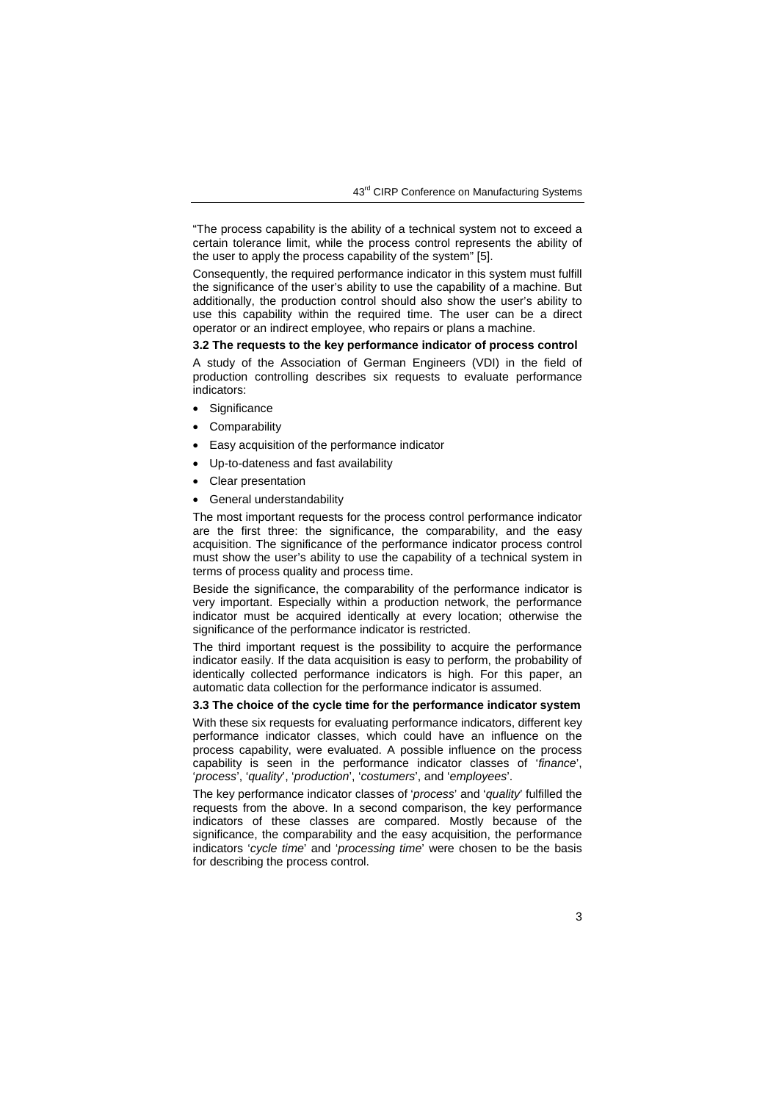"The process capability is the ability of a technical system not to exceed a certain tolerance limit, while the process control represents the ability of the user to apply the process capability of the system" [5].

Consequently, the required performance indicator in this system must fulfill the significance of the user's ability to use the capability of a machine. But additionally, the production control should also show the user's ability to use this capability within the required time. The user can be a direct operator or an indirect employee, who repairs or plans a machine.

## **3.2 The requests to the key performance indicator of process control**

A study of the Association of German Engineers (VDI) in the field of production controlling describes six requests to evaluate performance indicators:

- **Significance**
- **Comparability**
- Easy acquisition of the performance indicator
- Up-to-dateness and fast availability
- Clear presentation
- General understandability

The most important requests for the process control performance indicator are the first three: the significance, the comparability, and the easy acquisition. The significance of the performance indicator process control must show the user's ability to use the capability of a technical system in terms of process quality and process time.

Beside the significance, the comparability of the performance indicator is very important. Especially within a production network, the performance indicator must be acquired identically at every location; otherwise the significance of the performance indicator is restricted.

The third important request is the possibility to acquire the performance indicator easily. If the data acquisition is easy to perform, the probability of identically collected performance indicators is high. For this paper, an automatic data collection for the performance indicator is assumed.

#### **3.3 The choice of the cycle time for the performance indicator system**

With these six requests for evaluating performance indicators, different key performance indicator classes, which could have an influence on the process capability, were evaluated. A possible influence on the process capability is seen in the performance indicator classes of '*finance*', '*process*', '*quality*', '*production*', '*costumers*', and '*employees*'.

The key performance indicator classes of '*process*' and '*quality*' fulfilled the requests from the above. In a second comparison, the key performance indicators of these classes are compared. Mostly because of the significance, the comparability and the easy acquisition, the performance indicators '*cycle time*' and '*processing time*' were chosen to be the basis for describing the process control.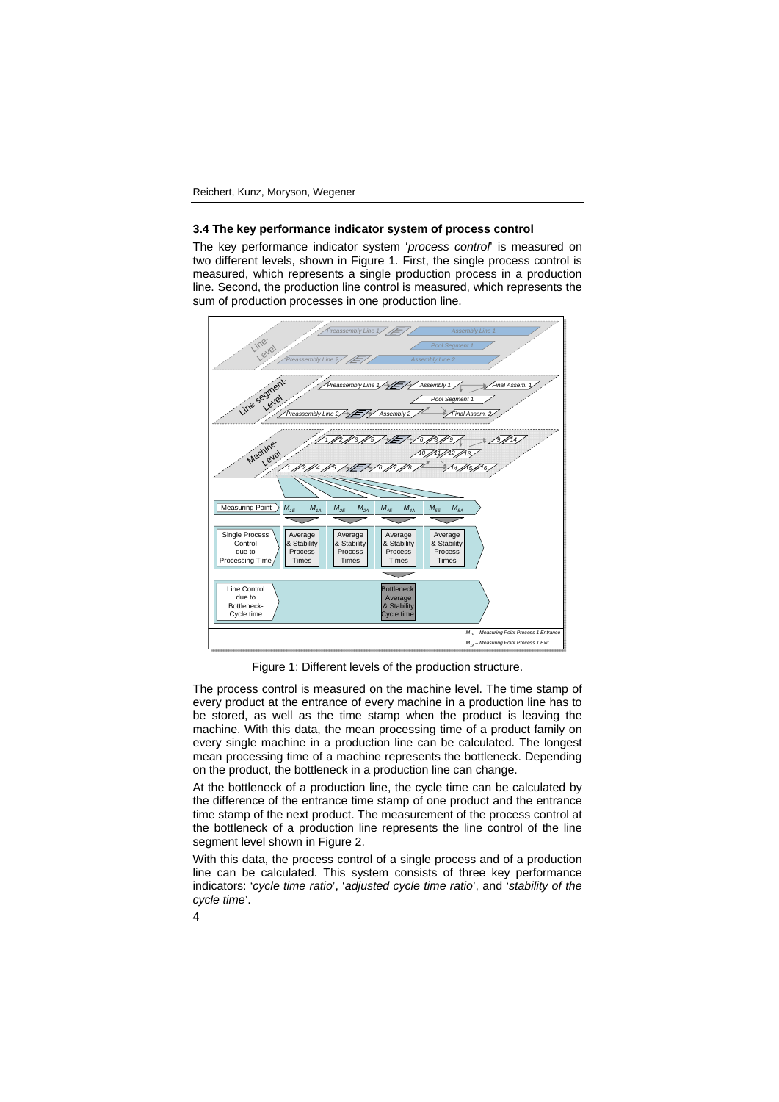#### **3.4 The key performance indicator system of process control**

The key performance indicator system '*process control*' is measured on two different levels, shown in Figure 1. First, the single process control is measured, which represents a single production process in a production line. Second, the production line control is measured, which represents the sum of production processes in one production line.



Figure 1: Different levels of the production structure.

The process control is measured on the machine level. The time stamp of every product at the entrance of every machine in a production line has to be stored, as well as the time stamp when the product is leaving the machine. With this data, the mean processing time of a product family on every single machine in a production line can be calculated. The longest mean processing time of a machine represents the bottleneck. Depending on the product, the bottleneck in a production line can change.

At the bottleneck of a production line, the cycle time can be calculated by the difference of the entrance time stamp of one product and the entrance time stamp of the next product. The measurement of the process control at the bottleneck of a production line represents the line control of the line segment level shown in Figure 2.

With this data, the process control of a single process and of a production line can be calculated. This system consists of three key performance indicators: '*cycle time ratio*', '*adjusted cycle time ratio*', and '*stability of the cycle time*'.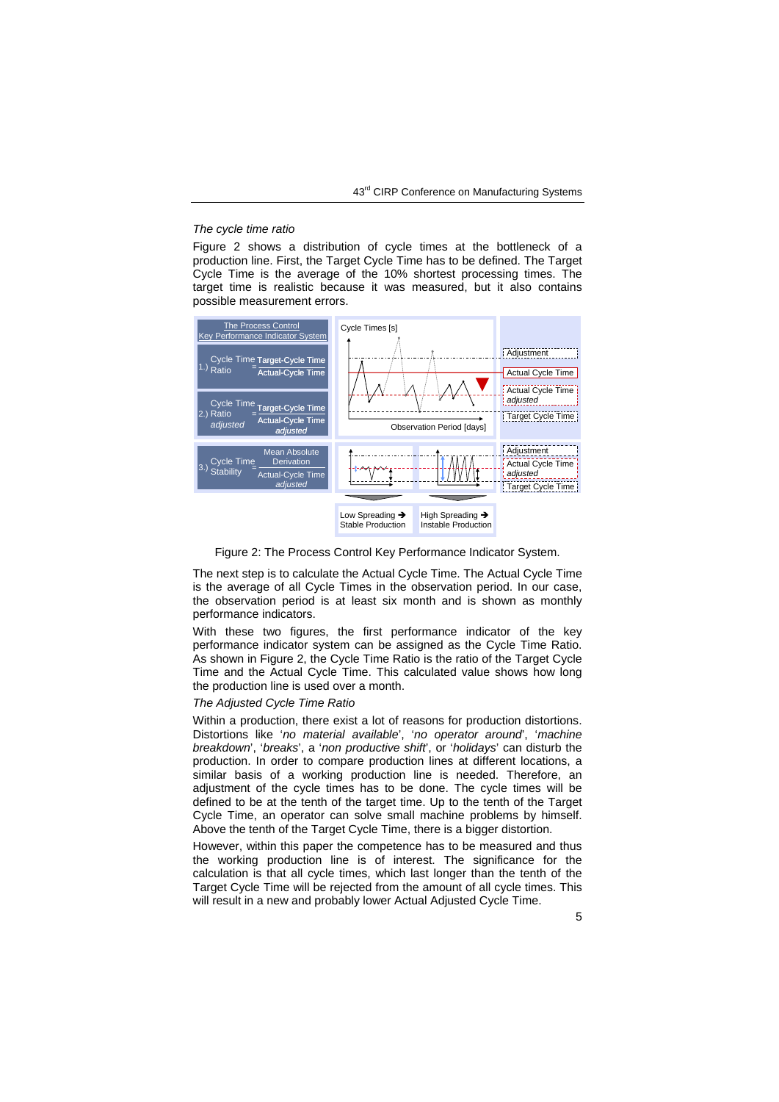#### *The cycle time ratio*

Figure 2 shows a distribution of cycle times at the bottleneck of a production line. First, the Target Cycle Time has to be defined. The Target Cycle Time is the average of the 10% shortest processing times. The target time is realistic because it was measured, but it also contains possible measurement errors.



Figure 2: The Process Control Key Performance Indicator System.

The next step is to calculate the Actual Cycle Time. The Actual Cycle Time is the average of all Cycle Times in the observation period. In our case, the observation period is at least six month and is shown as monthly performance indicators.

With these two figures, the first performance indicator of the key performance indicator system can be assigned as the Cycle Time Ratio. As shown in Figure 2, the Cycle Time Ratio is the ratio of the Target Cycle Time and the Actual Cycle Time. This calculated value shows how long the production line is used over a month.

#### *The Adjusted Cycle Time Ratio*

Within a production, there exist a lot of reasons for production distortions. Distortions like '*no material available*', '*no operator around*', '*machine breakdown*', '*breaks*', a '*non productive shift*', or '*holidays*' can disturb the production. In order to compare production lines at different locations, a similar basis of a working production line is needed. Therefore, an adjustment of the cycle times has to be done. The cycle times will be defined to be at the tenth of the target time. Up to the tenth of the Target Cycle Time, an operator can solve small machine problems by himself. Above the tenth of the Target Cycle Time, there is a bigger distortion.

However, within this paper the competence has to be measured and thus the working production line is of interest. The significance for the calculation is that all cycle times, which last longer than the tenth of the Target Cycle Time will be rejected from the amount of all cycle times. This will result in a new and probably lower Actual Adjusted Cycle Time.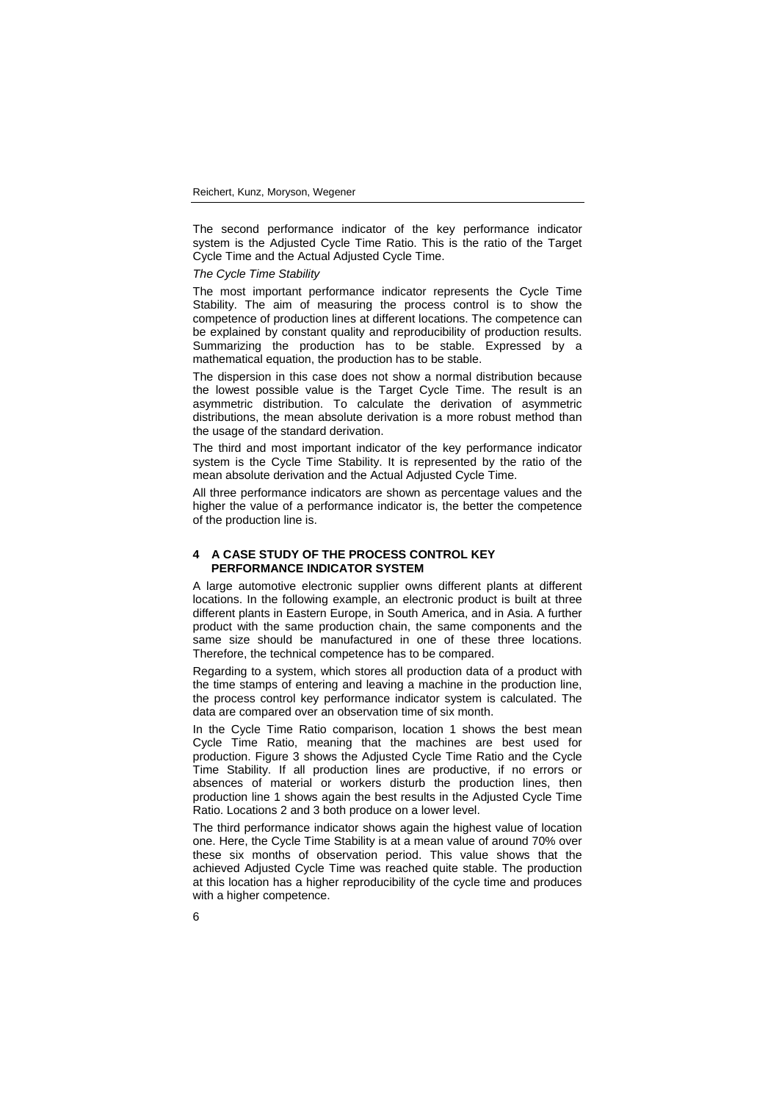The second performance indicator of the key performance indicator system is the Adjusted Cycle Time Ratio. This is the ratio of the Target Cycle Time and the Actual Adjusted Cycle Time.

*The Cycle Time Stability* 

The most important performance indicator represents the Cycle Time Stability. The aim of measuring the process control is to show the competence of production lines at different locations. The competence can be explained by constant quality and reproducibility of production results. Summarizing the production has to be stable. Expressed by a mathematical equation, the production has to be stable.

The dispersion in this case does not show a normal distribution because the lowest possible value is the Target Cycle Time. The result is an asymmetric distribution. To calculate the derivation of asymmetric distributions, the mean absolute derivation is a more robust method than the usage of the standard derivation.

The third and most important indicator of the key performance indicator system is the Cycle Time Stability. It is represented by the ratio of the mean absolute derivation and the Actual Adjusted Cycle Time.

All three performance indicators are shown as percentage values and the higher the value of a performance indicator is, the better the competence of the production line is.

## **4 A CASE STUDY OF THE PROCESS CONTROL KEY PERFORMANCE INDICATOR SYSTEM**

A large automotive electronic supplier owns different plants at different locations. In the following example, an electronic product is built at three different plants in Eastern Europe, in South America, and in Asia. A further product with the same production chain, the same components and the same size should be manufactured in one of these three locations. Therefore, the technical competence has to be compared.

Regarding to a system, which stores all production data of a product with the time stamps of entering and leaving a machine in the production line, the process control key performance indicator system is calculated. The data are compared over an observation time of six month.

In the Cycle Time Ratio comparison, location 1 shows the best mean Cycle Time Ratio, meaning that the machines are best used for production. Figure 3 shows the Adjusted Cycle Time Ratio and the Cycle Time Stability. If all production lines are productive, if no errors or absences of material or workers disturb the production lines, then production line 1 shows again the best results in the Adjusted Cycle Time Ratio. Locations 2 and 3 both produce on a lower level.

The third performance indicator shows again the highest value of location one. Here, the Cycle Time Stability is at a mean value of around 70% over these six months of observation period. This value shows that the achieved Adjusted Cycle Time was reached quite stable. The production at this location has a higher reproducibility of the cycle time and produces with a higher competence.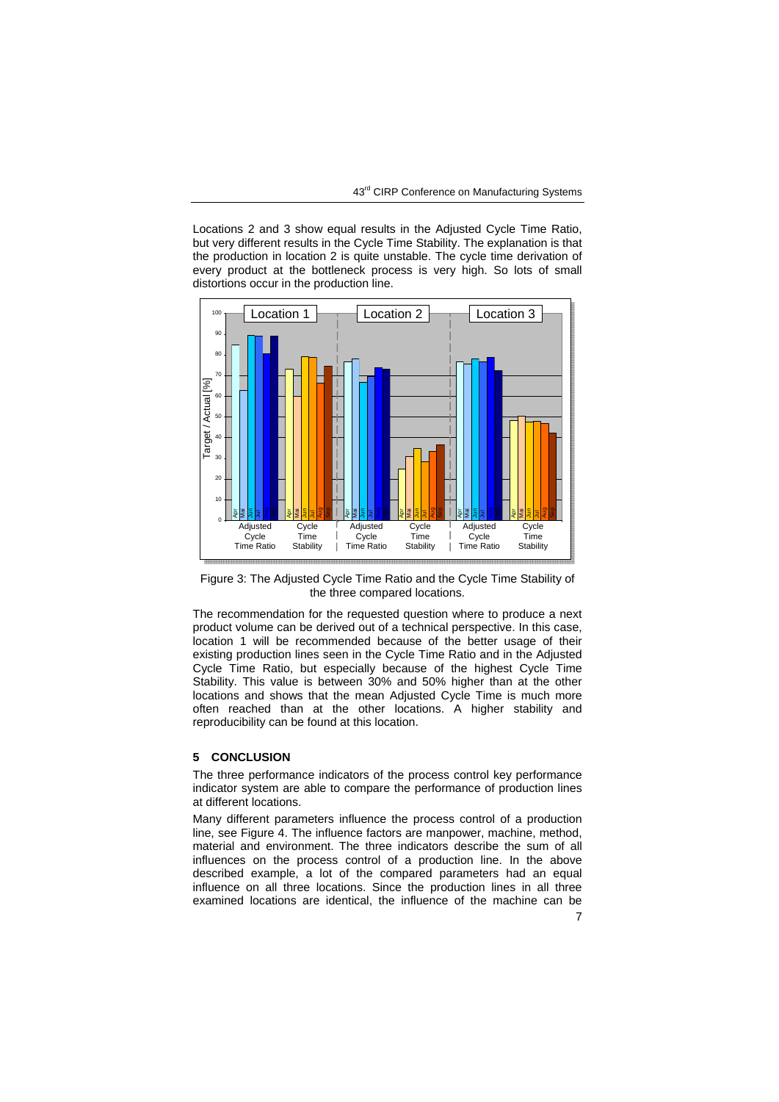Locations 2 and 3 show equal results in the Adjusted Cycle Time Ratio, but very different results in the Cycle Time Stability. The explanation is that the production in location 2 is quite unstable. The cycle time derivation of every product at the bottleneck process is very high. So lots of small distortions occur in the production line.



Figure 3: The Adjusted Cycle Time Ratio and the Cycle Time Stability of the three compared locations.

The recommendation for the requested question where to produce a next product volume can be derived out of a technical perspective. In this case, location 1 will be recommended because of the better usage of their existing production lines seen in the Cycle Time Ratio and in the Adjusted Cycle Time Ratio, but especially because of the highest Cycle Time Stability. This value is between 30% and 50% higher than at the other locations and shows that the mean Adjusted Cycle Time is much more often reached than at the other locations. A higher stability and reproducibility can be found at this location.

## **5 CONCLUSION**

The three performance indicators of the process control key performance indicator system are able to compare the performance of production lines at different locations.

Many different parameters influence the process control of a production line, see Figure 4. The influence factors are manpower, machine, method, material and environment. The three indicators describe the sum of all influences on the process control of a production line. In the above described example, a lot of the compared parameters had an equal influence on all three locations. Since the production lines in all three examined locations are identical, the influence of the machine can be